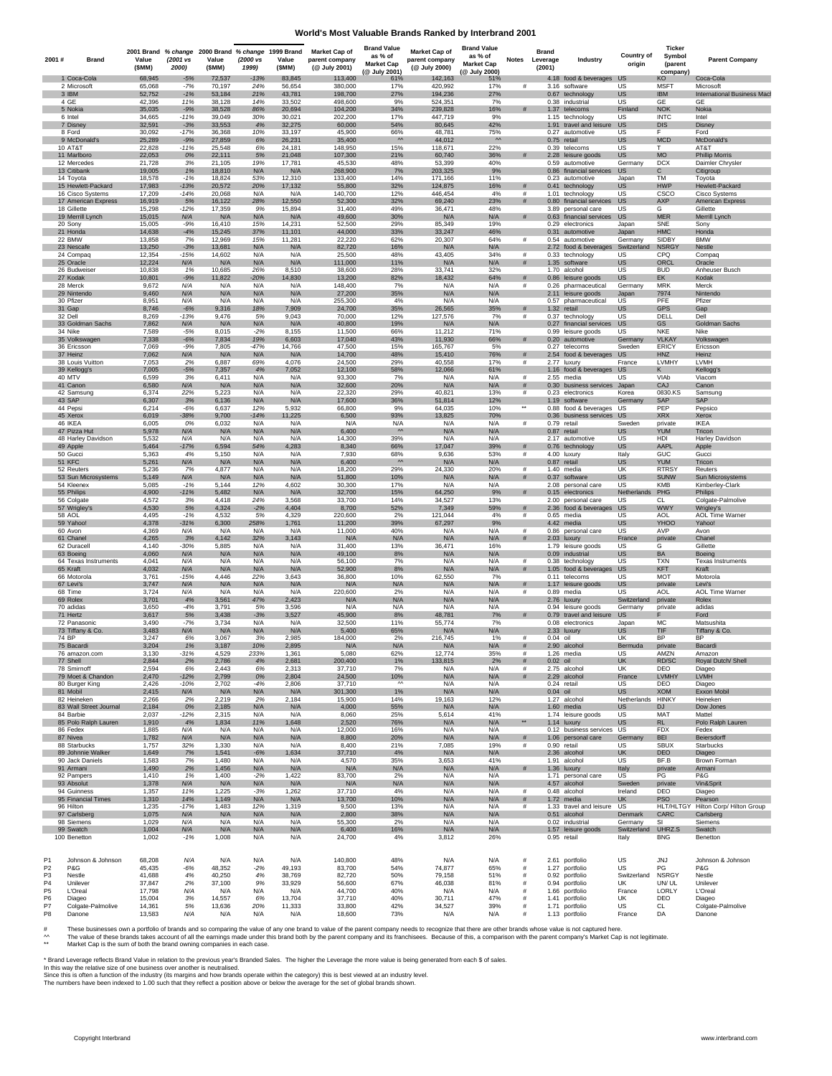#### **World's Most Valuable Brands Ranked by Interbrand 2001**

| 2001#                            | <b>Brand</b>                            | Value<br>(SMM)   | (2001 vs<br>2000) | Value<br>(SMM)   | (2000 vs<br>1999) | Value<br>(\$MM)  | 2001 Brand % change 2000 Brand % change 1999 Brand Market Cap of<br>parent company<br>(@ July 2001) | <b>Brand Value</b><br>as % of<br><b>Market Cap</b><br>(@ July 2001) | Market Cap of<br>parent company<br>(@ July 2000) | <b>Brand Value</b><br>as % of<br><b>Market Cap</b><br>(@ July 2000) | Notes                    | Brand<br>Leverage<br>(2001) | Industry                                      | <b>Country of</b><br>origin | <b>Ticker</b><br>Symbol<br>(parent<br>company) | <b>Parent Company</b>                           |
|----------------------------------|-----------------------------------------|------------------|-------------------|------------------|-------------------|------------------|-----------------------------------------------------------------------------------------------------|---------------------------------------------------------------------|--------------------------------------------------|---------------------------------------------------------------------|--------------------------|-----------------------------|-----------------------------------------------|-----------------------------|------------------------------------------------|-------------------------------------------------|
|                                  | 1 Coca-Cola                             | 68,945           | $-5%$             | 72,537           | $-13%$            | 83,845           | 113,400                                                                                             | 61%                                                                 | 142,163                                          | 51%                                                                 |                          |                             | 4.18 food & beverages US                      |                             | KO                                             | Coca-Cola                                       |
|                                  | 2 Microsoft<br>3 IBM                    | 65,068<br>52,752 | $-7%$<br>$-1%$    | 70,197<br>53,184 | 24%<br>21%        | 56,654<br>43,781 | 380,000<br>198,700                                                                                  | 17%<br>27%                                                          | 420,992<br>194,236                               | 17%<br>27%                                                          | #                        |                             | 3.16 software<br>0.67 technology              | US<br>US                    | <b>MSFT</b><br><b>IBM</b>                      | Microsoft<br><b>International Business Mack</b> |
|                                  | 4 GE<br>5 Nokia                         | 42,396<br>35,035 | 11%<br>$-9%$      | 38,128<br>38,528 | 14%<br>86%        | 33,502<br>20,694 | 498,600<br>104,200                                                                                  | 9%<br>34%                                                           | 524,351<br>239,828                               | 7%<br>16%                                                           |                          |                             | 0.38 industrial<br>1.37 telecoms              | <b>US</b><br>Finland        | GE<br><b>NOK</b>                               | GE<br>Nokia                                     |
|                                  | 6 Intel                                 | 34,665           | $-11%$            | 39,049           | 30%               | 30,021           | 202,200                                                                                             | 17%                                                                 | 447,719                                          | 9%                                                                  |                          |                             | 1.15 technology                               | US                          | <b>INTC</b>                                    | Intel                                           |
|                                  | 7 Disney<br>8 Ford                      | 32,591<br>30,092 | $-3%$<br>$-17%$   | 33,553<br>36,368 | 4%<br>10%         | 32,275<br>33,197 | 60,000<br>45,900                                                                                    | 54%<br>66%                                                          | 80,645<br>48,781                                 | 42%<br>75%                                                          |                          |                             | 1.91 travel and leisu<br>0.27 automotive      | US<br>US                    | <b>DIS</b><br>F.                               | Disney<br>Ford                                  |
|                                  | 9 McDonald's                            | 25,289           | $-9%$             | 27,859           | 6%                | 26,231           | 35,400                                                                                              | $\boldsymbol{\mathsf{M}}$                                           | 44,012                                           | $\boldsymbol{\mathsf{M}}$                                           |                          |                             | 0.75 retail                                   | US                          | <b>MCD</b>                                     | McDonald's                                      |
|                                  | 10 AT&T<br>11 Marlboro                  | 22,828<br>22,053 | $-11%$<br>0%      | 25,548<br>22,111 | 6%<br>5%          | 24,181<br>21,048 | 148,950<br>107,300                                                                                  | 15%<br>21%                                                          | 118,671<br>60,740                                | 22%<br>36%                                                          | #                        |                             | 0.39 telecoms<br>2.28 leisure goods           | US<br>US                    | T<br><b>MO</b>                                 | AT&T<br><b>Phillip Morris</b>                   |
|                                  | 12 Mercedes                             | 21,728           | 3%                | 21,105           | 19%               | 17,781           | 45,530                                                                                              | 48%                                                                 | 53,399                                           | 40%                                                                 |                          |                             | 0.59 automotive                               | Germany                     | <b>DCX</b>                                     | Daimler Chrysler                                |
|                                  | 13 Citibank<br>14 Toyota                | 19,005<br>18,578 | 1%<br>$-1%$       | 18,810<br>18,824 | N/A<br>53%        | N/A<br>12,310    | 268,900<br>133,400                                                                                  | 7%<br>14%                                                           | 203,325<br>171,166                               | 9%<br>11%                                                           |                          |                             | 0.86 financial service<br>0.23 automotive     | <b>US</b><br>Japan          | C<br>TM                                        | Citigroup<br>Toyota                             |
|                                  | 15 Hewlett-Packard                      | 17,983           | $-13%$            | 20,572           | 20%               | 17,132           | 55,800                                                                                              | 32%                                                                 | 124,875                                          | 16%                                                                 | #                        |                             | 0.41 technology                               | US                          | <b>HWP</b>                                     | Hewlett-Packard                                 |
|                                  | 16 Cisco Systems<br>17 American Express | 17,209<br>16,919 | $-14%$<br>5%      | 20,068<br>16,122 | N/A<br>28%        | N/A<br>12,550    | 140,700<br>52,300                                                                                   | 12%<br>32%                                                          | 446,454<br>69,240                                | 4%<br>23%                                                           | #<br>#                   |                             | 1.01 technology<br>0.80 financial services    | US<br>US                    | CSCO<br><b>AXP</b>                             | Cisco Systems<br>American Express               |
|                                  | 18 Gillette                             | 15,298           | $-12%$            | 17,359           | 9%                | 15,894           | 31,400                                                                                              | 49%                                                                 | 36,471                                           | 48%                                                                 |                          |                             | 3.89 personal care                            | US                          | G                                              | Gillette                                        |
|                                  | 19 Merrill Lynch<br>20 Sony             | 15,015<br>15,005 | N/A<br>$-9%$      | N/A<br>16,410    | N/A<br>15%        | N/A<br>14,231    | 49,600<br>52,500                                                                                    | 30%<br>29%                                                          | N/A<br>85,349                                    | N/A<br>19%                                                          | #                        |                             | 0.63 financial services<br>0.29 electronics   | <b>US</b><br>Japan          | <b>MER</b><br>SNE                              | Merrill Lynch<br>Sony                           |
|                                  | 21 Honda                                | 14,638           | $-4%$             | 15,245           | 37%               | 11,101           | 44,000                                                                                              | 33%                                                                 | 33,247                                           | 46%                                                                 |                          |                             | 0.31 automotive                               | Japan                       | <b>HMC</b>                                     | Honda                                           |
|                                  | 22 BMW<br>23 Nescafe                    | 13,858<br>13,250 | 7%<br>$-3%$       | 12,969<br>13,681 | 15%<br>N/A        | 11,281<br>N/A    | 22,220<br>82,720                                                                                    | 62%<br>16%                                                          | 20,307<br>N/A                                    | 64%<br>N/A                                                          | $\#$                     |                             | 0.54 automotive<br>2.72 food & beverages      | Germany<br>Switzerland      | SIDBY<br>NSRG'                                 | <b>BMW</b><br><b>Nestle</b>                     |
|                                  | 24 Compaq                               | 12,354<br>12,224 | $-15%$            | 14,602           | N/A               | N/A              | 25,500                                                                                              | 48%                                                                 | 43,405                                           | 34%                                                                 | #<br>#                   |                             | 0.33 technology                               | US                          | CPQ<br>ORCL                                    | Compaq                                          |
|                                  | 25 Oracle<br>26 Budweiser               | 10,838           | N/A<br>1%         | N/A<br>10,685    | N/A<br>26%        | N/A<br>8,510     | 111,000<br>38,600                                                                                   | 11%<br>28%                                                          | N/A<br>33,741                                    | N/A<br>32%                                                          |                          |                             | 1.35 software<br>1.70 alcohol                 | <b>US</b><br>US             | <b>BUD</b>                                     | Oracle<br>Anheuser Busch                        |
|                                  | 27 Kodak                                | 10,801           | $-9%$             | 11,822           | $-20%$            | 14,830           | 13,200                                                                                              | 82%<br>7%                                                           | 18,432                                           | 64%                                                                 | #<br>#                   |                             | 0.86 leisure goods                            | US                          | EK<br><b>MRK</b>                               | Kodak                                           |
|                                  | 28 Merck<br>29 Nintendo                 | 9,672<br>9,460   | N/A<br>N/A        | N/A<br>N/A       | N/A<br>N/A        | N/A<br>N/A       | 148,400<br>27,200                                                                                   | 35%                                                                 | N/A<br>N/A                                       | N/A<br>N/A                                                          |                          |                             | 0.26 pharmaceutical<br>2.11 leisure goods     | Germany<br>Japan            | 7974                                           | Merck<br>Nintendo                               |
|                                  | 30 Pfizer                               | 8,951            | N/A               | N/A              | N/A               | N/A              | 255,300                                                                                             | 4%                                                                  | N/A                                              | N/A                                                                 | #                        |                             | 0.57 pharmaceutical                           | US                          | PFE                                            | Pfizer                                          |
|                                  | 31 Gap<br>32 Dell                       | 8,746<br>8,269   | $-6%$<br>$-13%$   | 9,316<br>9,476   | 18%<br>5%         | 7,909<br>9,043   | 24,700<br>70,000                                                                                    | 35%<br>12%                                                          | 26,565<br>127,576                                | 35%<br>7%                                                           | #                        |                             | 1.32 retail<br>0.37 technology                | US<br><b>US</b>             | <b>GPS</b><br>DELL                             | Gap<br>Dell                                     |
|                                  | 33 Goldman Sachs                        | 7,862            | N/A               | N/A              | N/A               | N/A              | 40,800                                                                                              | 19%                                                                 | N/A                                              | N/A                                                                 |                          |                             | 0.27 financial services                       | <b>US</b>                   | GS                                             | <b>Goldman Sachs</b><br>Nike                    |
|                                  | 34 Nike<br>35 Volkswagen                | 7,589<br>7,338   | $-5%$<br>$-6%$    | 8,015<br>7,834   | $-2%$<br>19%      | 8,155<br>6,603   | 11,500<br>17,040                                                                                    | 66%<br>43%                                                          | 11,212<br>11,930                                 | 71%<br>66%                                                          | #                        |                             | 0.99 leisure goods<br>0.20 automotive         | US<br>Germany               | NKE<br><b>VLKAY</b>                            | Volkswagen                                      |
|                                  | 36 Ericsson                             | 7,069            | $-9%$             | 7,805            | $-47%$<br>N/A     | 14,766           | 47,500                                                                                              | 15%                                                                 | 165,767                                          | 5%                                                                  |                          |                             | 0.27 telecoms                                 | Sweden                      | ERICY                                          | Ericsson<br>Heinz                               |
|                                  | 37 Heinz<br>38 Louis Vuitton            | 7,062<br>7,053   | N/A<br>2%         | N/A<br>6,887     | 69%               | N/A<br>4,076     | 14,700<br>24,500                                                                                    | 48%<br>29%                                                          | 15,410<br>40,558                                 | 76%<br>17%                                                          | #<br>$\#$                |                             | 2.54 food & beverages<br>2.77 luxurv          | US<br>France                | HNZ<br>LVMHY                                   | LVMH                                            |
|                                  | 39 Kellogg's                            | 7,005            | $-5%$             | 7,357            | 4%                | 7,052            | 12,100                                                                                              | 58%                                                                 | 12,066                                           | 61%                                                                 |                          |                             | 1.16 food & beverages                         | US                          | Κ                                              | Kellogg's                                       |
|                                  | 40 MTV<br>41 Canon                      | 6,599<br>6,580   | 3%<br>N/A         | 6,411<br>N/A     | N/A<br>N/A        | N/A<br>N/A       | 93,300<br>32,600                                                                                    | 7%<br>20%                                                           | N/A<br>N/A                                       | N/A<br>N/A                                                          | $\#$<br>#                |                             | 2.55 media<br>0.30 business services          | US<br>Japan                 | VIAb<br>CAJ                                    | Viacom<br>Canon                                 |
|                                  | 42 Samsung                              | 6,374            | 22%               | 5,223            | N/A               | N/A              | 22,320                                                                                              | 29%                                                                 | 40,821                                           | 13%                                                                 | $\#$                     |                             | 0.23 electronics                              | Korea                       | 0830.KS                                        | Samsung                                         |
|                                  | 43 SAP<br>44 Pepsi                      | 6,307<br>6,214   | 3%<br>-6%         | 6,136<br>6,637   | N/A<br>12%        | N/A<br>5,932     | 17,600<br>66,800                                                                                    | 36%<br>9%                                                           | 51,814<br>64,035                                 | 12%<br>10%                                                          | $\overline{\phantom{a}}$ |                             | 1.19 software<br>0.88 food & beverages US     | Germany                     | SAP<br>PEP                                     | SAP<br>Pepsico                                  |
|                                  | 45 Xerox                                | 6,019            | 38%               | 9,700            | $-14%$            | 11,225           | 6,500                                                                                               | 93%                                                                 | 13,825                                           | 70%                                                                 |                          |                             | 0.36 business services                        | US                          | <b>XRX</b>                                     | Xerox                                           |
|                                  | 46 IKEA<br>47 Pizza Hut                 | 6,005<br>5,978   | 0%<br>N/A         | 6,032<br>N/A     | N/A<br>N/A        | N/A<br>N/A       | N/A<br>6,400                                                                                        | N/A<br>$\mathsf{w}$                                                 | N/A<br>N/A                                       | N/A<br>N/A                                                          | $\#$                     |                             | 0.79 retail<br>0.87 retail                    | Sweden<br>US                | private<br><b>YUM</b>                          | <b>IKEA</b><br>Tricon                           |
|                                  | 48 Harley Davidson                      | 5,532            | N/A               | N/A              | N/A               | N/A              | 14,300                                                                                              | 39%                                                                 | N/A                                              | N/A                                                                 |                          |                             | 2.17 automotive                               | US                          | HDI                                            | Harley Davidson                                 |
|                                  | 49 Apple<br>50 Gucci                    | 5,464<br>5,363   | .17%<br>4%        | 6,594<br>5,150   | 54%<br>N/A        | 4,283<br>N/A     | 8,340<br>7,930                                                                                      | 66%<br>68%                                                          | 17,047<br>9,636                                  | 39%<br>53%                                                          | #<br>#                   |                             | 0.76 technology<br>4.00 luxury                | US<br>Italy                 | AAPL<br>GUC                                    | Apple<br>Gucci                                  |
|                                  | 51 KFC                                  | 5,261            | N/A               | N/A              | N/A               | N/A              | 6,400                                                                                               | $\mathsf{w}$                                                        | N/A                                              | N/A                                                                 |                          |                             | 0.87 retail                                   | US                          | <b>YUM</b>                                     | Tricon                                          |
|                                  | 52 Reuters<br>53 Sun Microsystems       | 5,236<br>5,149   | 7%<br>N/A         | 4,877<br>N/A     | N/A<br>N/A        | N/A<br>N/A       | 18,200<br>51,800                                                                                    | 29%<br>10%                                                          | 24,330<br>N/A                                    | 20%<br>N/A                                                          | #<br>#                   |                             | 1.40 media<br>0.37 software                   | UK<br>US                    | <b>RTRSY</b><br><b>SUNW</b>                    | Reuters<br>Sun Microsystems                     |
|                                  | 54 Kleenex                              | 5,085            | $-1%$             | 5,144            | 12%               | 4,602            | 30,300                                                                                              | 17%                                                                 | N/A                                              | N/A                                                                 |                          |                             | 2.08 personal care                            | US                          | KMB                                            | Kimberley-Clark                                 |
|                                  | 55 Philips<br>56 Colgate                | 4,900<br>4,572   | 11%<br>3%         | 5,482<br>4,418   | N/A<br>24%        | N/A<br>3,568     | 32,700<br>33,700                                                                                    | 15%<br>14%                                                          | 64,250<br>34,527                                 | 9%<br>13%                                                           |                          |                             | 0.15 electronics<br>2.00 personal care        | Netherlands<br>US           | PHG<br>CL                                      | Philips<br>Colgate-Palmolive                    |
|                                  | 57 Wrigley                              | 4,530            | 5%                | 4,324            | $-2%$             | 4,404            | 8,700                                                                                               | 52%                                                                 | 7,349                                            | 59%                                                                 | #                        |                             | 2.36 food & beverage                          | US                          | <b>WWY</b>                                     | Wrigley's                                       |
|                                  | 58 AOL<br>59 Yahoo!                     | 4,495<br>4,378   | $-1%$<br>$-31%$   | 4,532<br>6,300   | 5%<br>258%        | 4,329<br>1,761   | 220,600<br>11,200                                                                                   | 2%<br>39%                                                           | 121,044<br>67,297                                | 4%<br>9%                                                            | $\#$                     |                             | 0.65 media<br>4.42 media                      | US<br>US                    | AOL<br><b>YHOO</b>                             | <b>AOL Time Warner</b><br>Yahoo!                |
|                                  | 60 Avon                                 | 4,369            | N/A               | N/A              | N/A               | N/A              | 11,000                                                                                              | 40%                                                                 | N/A                                              | N/A                                                                 | $\#$                     |                             | 0.86 personal care                            | US                          | AVP                                            | Avon                                            |
|                                  | 61 Chanel<br>62 Duracell                | 4,265<br>4,140   | 3%<br>$-30%$      | 4,142<br>5,885   | 32%<br>N/A        | 3,143<br>N/A     | N/A<br>31,400                                                                                       | N/A<br>13%                                                          | N/A<br>36,471                                    | N/A<br>16%                                                          | #                        |                             | 2.03 luxury<br>1.79 leisure goods             | France<br>US                | private<br>G                                   | Chanel<br>Gillette                              |
|                                  | 63 Boeing                               | 4,060            | N/A               | N/A              | N/A               | N/A              | 49,100                                                                                              | 8%                                                                  | N/A                                              | N/A                                                                 |                          |                             | 0.09 industrial                               | <b>US</b>                   | BA                                             | Boeing                                          |
|                                  | 64 Texas Instruments<br>65 Kraft        | 4,041<br>4,032   | N/A<br>N/A        | N/A<br>N/A       | N/A<br>N/A        | N/A<br>N/A       | 56,100<br>52,900                                                                                    | 7%<br>8%                                                            | N/A<br>N/A                                       | N/A<br>N/A                                                          | $\#$<br>#                |                             | 0.38 technology<br>1.05 food & beverage       | US<br>US                    | <b>TXN</b><br><b>KFT</b>                       | <b>Texas Instruments</b><br>Kraft               |
|                                  | 66 Motorola                             | 3,761            | $-15%$            | 4,446            | 22%               | 3,643            | 36,800                                                                                              | 10%                                                                 | 62,550                                           | 7%                                                                  |                          |                             | 0.11 telecoms                                 | US                          | <b>MOT</b>                                     | Motorola                                        |
|                                  | 67 Levi's<br>68 Time                    | 3,747<br>3,724   | N/A<br>N/A        | N/A<br>N/A       | N/A<br>N/A        | N/A<br>N/A       | N/A<br>220,600                                                                                      | N/A<br>2%                                                           | N/A<br>N/A                                       | N/A<br>N/A                                                          | #<br>#                   |                             | 1.17 leisure goods<br>0.89 media              | US<br>US                    | private<br><b>AOL</b>                          | Levi's<br><b>AOL Time Warner</b>                |
|                                  | 69 Rolex                                | 3,701            | 4%                | 3,561            | 47%               | 2,423            | N/A                                                                                                 | N/A                                                                 | N/A                                              | N/A                                                                 |                          |                             | 2.76 luxury                                   | Switzerland                 | private                                        | Rolex                                           |
|                                  | 70 adidas<br>71 Hertz                   | 3,650<br>3,617   | $-4%$<br>5%       | 3,791<br>3,438   | 5%<br>$-3%$       | 3,596<br>3,527   | N/A<br>45,900                                                                                       | N/A<br>8%                                                           | N/A<br>48,781                                    | N/A<br>7%                                                           | #                        |                             | 0.94 leisure goods<br>0.79 travel and leisure | Germany<br><b>US</b>        | private                                        | adidas<br>Ford                                  |
|                                  | 72 Panasonic                            | 3,490            | $-7%$<br>N/A      | 3,734            | N/A               | N/A              | 32,500                                                                                              | 11%                                                                 | 55,774                                           | 7%                                                                  |                          |                             | 0.08 electronics                              | Japan                       | MC<br>TIF                                      | Matsushita                                      |
|                                  | 73 Tiffany & Co.<br>74 BP               | 3,483<br>3,247   | 6%                | N/A<br>3,067     | N/A<br>3%         | N/A<br>2,985     | 5,400<br>184,000                                                                                    | 65%<br>2%                                                           | N/A<br>216,745                                   | N/A<br>1%                                                           | #                        |                             | 2.33 luxury<br>0.04 oil                       | US<br>UK                    | <b>BP</b>                                      | Tiffany & Co.<br><b>BP</b>                      |
|                                  | 75 Bacardi                              | 3,204            | 1%<br>$-31%$      | 3,187<br>4.529   | 10%               | 2,895            | N/A                                                                                                 | N/A                                                                 | N/A                                              | N/A<br>35%                                                          | #                        |                             | 2.90 alcohol                                  | Bermuda                     | private<br>AMZN                                | Bacardi                                         |
|                                  | 76 amazon.com<br>77 Shell               | 3,130<br>2,844   | 2%                | 2,786            | 233%<br>4%        | 1,361<br>2,681   | 5,080<br>200,400                                                                                    | 62%<br>1%                                                           | 12,774<br>133,815                                | 2%                                                                  | #                        |                             | 1.26 media<br>$0.02$ oil                      | US<br>UK                    | RD/SC                                          | Amazon<br>Royal Dutch/ Shell                    |
|                                  | 78 Smirnoff<br>79 Moet & Chandon        | 2,594<br>2,470   | 6%<br>$-12%$      | 2,443<br>2,799   | 6%<br>0%          | 2,313<br>2,804   | 37,710<br>24,500                                                                                    | 7%<br>10%                                                           | N/A<br>N/A                                       | N/A<br>N/A                                                          | #<br>#                   |                             | 2.75 alcohol<br>2.29 alcohol                  | UK<br>France                | DEO<br><b>LVMHY</b>                            | Diageo<br><b>LVMH</b>                           |
|                                  | 80 Burger King                          | 2,426            | $-10%$            | 2,702            | $-4%$             | 2,806            | 37,710                                                                                              | $\sim$                                                              | N/A                                              | N/A                                                                 |                          |                             | 0.24 retail                                   | US                          | DEO                                            | Diageo                                          |
|                                  | 81 Mobil<br>82 Heineken                 | 2,415<br>2,266   | N/A<br>2%         | N/A<br>2,219     | N/A<br>2%         | N/A<br>2,184     | 301,300<br>15,900                                                                                   | 1%<br>14%                                                           | N/A<br>19,163                                    | N/A<br>12%                                                          |                          |                             | 0.04 oil<br>1.27 alcohol                      | US<br>Netherlands HINKY     | <b>XOM</b>                                     | Exxon Mobil<br>Heineken                         |
|                                  | 83 Wall Street Journal                  | 2,184            | 0%                | 2,185            | N/A               | N/A              | 4,000                                                                                               | 55%                                                                 | N/A                                              | N/A                                                                 |                          |                             | 1.60 media                                    | <b>US</b>                   | <b>DJ</b>                                      | Dow Jones                                       |
|                                  | 84 Barbie<br>85 Polo Ralph Lauren       | 2,037<br>1,910   | $-12%$<br>4%      | 2,315<br>1,834   | N/A<br>11%        | N/A              | 8,060<br>2,520                                                                                      | 25%<br>76%                                                          | 5,614<br>N/A                                     | 41%<br>N/A                                                          |                          |                             | 1.74 leisure goods                            | US<br><b>US</b>             | MAT<br>RL                                      | Mattel<br>Polo Ralph Lauren                     |
|                                  | 86 Fedex                                | 1,885            | N/A               | N/A              | N/A               | 1,648<br>N/A     | 12,000                                                                                              | 16%                                                                 | N/A                                              | N/A                                                                 |                          |                             | 1.14 luxury<br>0.12 business services US      |                             | <b>FDX</b>                                     | Fedex                                           |
|                                  | 87 Nivea<br>88 Starbucks                | 1,782<br>1,757   | N/A<br>32%        | N/A<br>1,330     | N/A<br>N/A        | N/A<br>N/A       | 8,800<br>8,400                                                                                      | 20%<br>21%                                                          | N/A<br>7,085                                     | N/A<br>19%                                                          | #<br>$\#$                |                             | 1.06 personal care<br>0.90 retail             | Germany<br>US               | <b>BEI</b><br><b>SBUX</b>                      | Beiersdorff<br>Starbucks                        |
|                                  | 89 Johnnie Walker                       | 1,649            | 7%                | 1,541            | $-6%$             | 1,634            | 37,710                                                                                              | 4%                                                                  | N/A                                              | N/A                                                                 |                          |                             | 2.36 alcohol                                  | UK                          | DEO                                            | Diageo                                          |
|                                  | 90 Jack Daniels                         | 1,583<br>1,490   | 7%<br>2%          | 1,480            | N/A<br>N/A        | N/A<br>N/A       | 4,570                                                                                               | 35%<br>N/A                                                          | 3,653<br>N/A                                     | 41%<br>N/A                                                          | #                        |                             | 1.91 alcohol                                  | US                          | BF.B                                           | Brown Forman                                    |
|                                  | 91 Armani<br>92 Pampers                 | 1,410            | 1%                | 1,456<br>1,400   | $-2%$             | 1,422            | N/A<br>83,700                                                                                       | 2%                                                                  | N/A                                              | N/A                                                                 |                          |                             | 1.36 luxury<br>1.71 personal care             | Italy<br>US                 | private<br>PG                                  | Armani<br>P&G                                   |
|                                  | 93 Absolut                              | 1,378            | N/A               | N/A              | N/A               | N/A              | N/A                                                                                                 | N/A                                                                 | N/A                                              | N/A                                                                 |                          |                             | 4.57 alcohol                                  | Sweden                      | private                                        | Vin&Sprit                                       |
|                                  | 94 Guinness<br>95 Financial Times       | 1,357<br>1,310   | 11%<br>14%        | 1,225<br>1,149   | $-3%$<br>N/A      | 1,262<br>N/A     | 37,710<br>13,700                                                                                    | 4%<br>10%                                                           | N/A<br>N/A                                       | N/A<br>N/A                                                          | #<br>#                   |                             | 0.48 alcohol<br>1.72 media                    | Ireland<br>UK               | DEO<br><b>PSO</b>                              | Diageo<br>Pearson                               |
|                                  | 96 Hilton                               | 1,235            | $-17%$            | 1,483            | 12%               | 1,319            | 9,500                                                                                               | 13%                                                                 | N/A                                              | N/A                                                                 | $\#$                     |                             | 1.33 travel and leisure                       | US                          |                                                | HLT/HLTGY Hilton Corp/ Hilton Group             |
|                                  | 97 Carlsberg<br>98 Siemens              | 1,075<br>1,029   | N/A<br>N/A        | N/A<br>N/A       | N/A<br>N/A        | N/A<br>N/A       | 2,800<br>55,300                                                                                     | 38%<br>2%                                                           | N/A<br>N/A                                       | N/A<br>N/A                                                          |                          |                             | 0.51 alcohol<br>0.02 industrial               | Denmark<br>Germany          | CARC<br>SI                                     | Carlsberg<br>Siemens                            |
|                                  | 99 Swatch<br>100 Benetton               | 1,004<br>1,002   | N/A<br>$-1%$      | N/A<br>1,008     | N/A<br>N/A        | N/A<br>N/A       | 6,400<br>24,700                                                                                     | 16%<br>4%                                                           | N/A<br>3,812                                     | N/A<br>26%                                                          |                          |                             | 1.57 leisure goods<br>0.95 retail             | Switzerland<br>Italy        | UHRZ.S<br><b>BNG</b>                           | Swatch<br>Benetton                              |
|                                  |                                         |                  |                   |                  |                   |                  |                                                                                                     |                                                                     |                                                  |                                                                     |                          |                             |                                               |                             |                                                |                                                 |
| P <sub>1</sub>                   | Johnson & Johnson                       | 68,208           | N/A               | N/A              | N/A               | N/A              | 140,800                                                                                             | 48%                                                                 | N/A                                              | N/A                                                                 | #                        |                             | 2.61 portfolio                                | US                          | <b>JNJ</b>                                     | Johnson & Johnson                               |
| P <sub>2</sub><br>P <sub>3</sub> | P&G<br>Nestle                           | 45,435<br>41,688 | $-6%$<br>4%       | 48,352<br>40,250 | $-2%$<br>4%       | 49,193<br>38,769 | 83,700<br>82,720                                                                                    | 54%<br>50%                                                          | 74,877<br>79,158                                 | 65%<br>51%                                                          | #<br>#                   |                             | 1.27 portfolio<br>0.92 portfolio              | US<br>Switzerland           | PG<br><b>NSRGY</b>                             | P&G<br>Nestle                                   |
| P <sub>4</sub>                   | Unilever                                | 37,847           | 2%                | 37,100           | 9%                | 33,929           | 56,600                                                                                              | 67%                                                                 | 46,038                                           | 81%                                                                 | #                        |                             | 0.94 portfolio                                | UK                          | UN/UL                                          | Unilever                                        |
| P <sub>5</sub><br>P <sub>6</sub> | L'Oreal<br>Diageo                       | 17,798<br>15,004 | N/A<br>3%         | N/A<br>14,557    | N/A<br>6%         | N/A<br>13,704    | 44,700<br>37,710                                                                                    | 40%<br>40%                                                          | N/A<br>30,711                                    | N/A<br>47%                                                          | #<br>#                   |                             | 1.66 portfolio<br>1.41 portfolio              | France<br>UK                | LORLY<br>DEO                                   | L'Oreal<br>Diageo                               |
| P7                               | Colgate-Palmolive                       | 14,361           | 5%                | 13,636           | 20%               | 11,333           | 33,800                                                                                              | 42%                                                                 | 34,527                                           | 39%                                                                 | #                        |                             | 1.71 portfolio                                | US                          | CL                                             | Colgate-Palmolive                               |
| P <sub>8</sub>                   | Danone                                  | 13,583           | N/A               | N/A              | N/A               | N/A              | 18,600                                                                                              | 73%                                                                 | N/A                                              | N/A                                                                 | #                        |                             | 1.13 portfolio                                | France                      | DA                                             | Danone                                          |

#These businesses own a portfolio of brands and so comparing the value of any one brand to value of the parent company needs to recognize that there are other brands whose value is not captured here.<br>^^ The value of these

\* Brand Leverage reflects Brand Value in relation to the previous year's Branded Sales. The higher the Leverage the more value is being generated from each \$ of sales.<br>In this way the relative size of one business over ano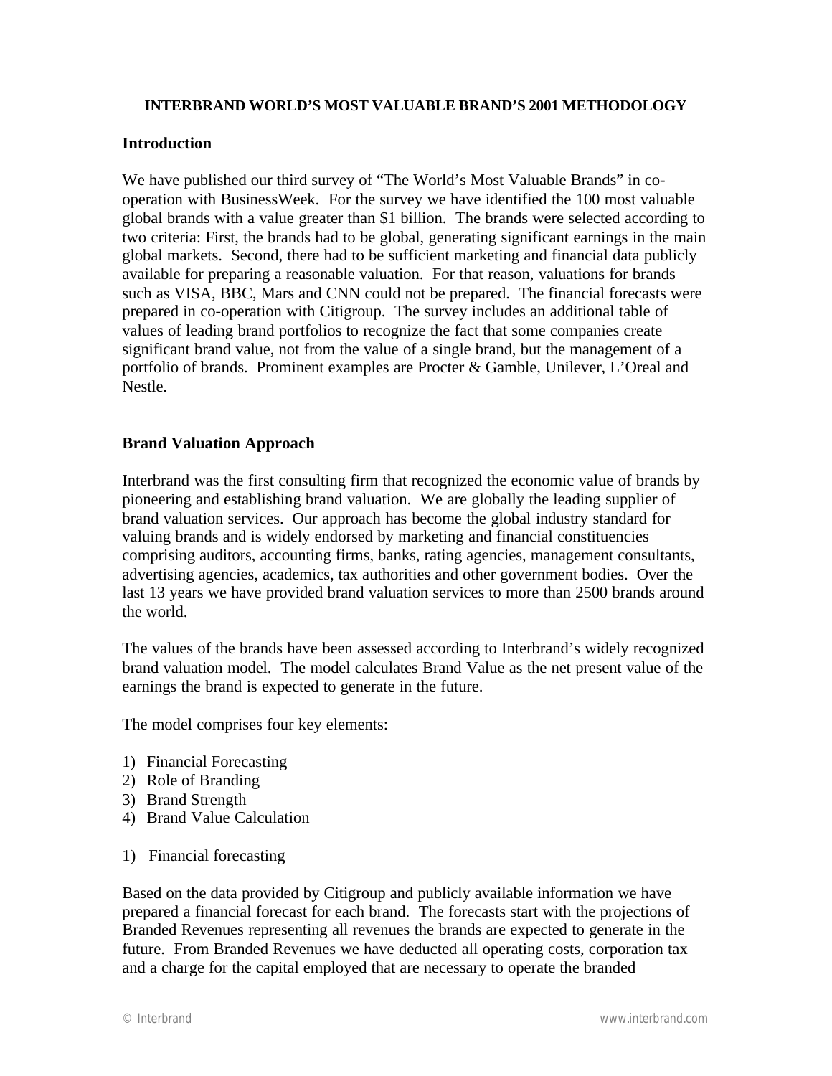#### **INTERBRAND WORLD'S MOST VALUABLE BRAND'S 2001 METHODOLOGY**

# **Introduction**

We have published our third survey of "The World's Most Valuable Brands" in cooperation with BusinessWeek. For the survey we have identified the 100 most valuable global brands with a value greater than \$1 billion. The brands were selected according to two criteria: First, the brands had to be global, generating significant earnings in the main global markets. Second, there had to be sufficient marketing and financial data publicly available for preparing a reasonable valuation. For that reason, valuations for brands such as VISA, BBC, Mars and CNN could not be prepared. The financial forecasts were prepared in co-operation with Citigroup. The survey includes an additional table of values of leading brand portfolios to recognize the fact that some companies create significant brand value, not from the value of a single brand, but the management of a portfolio of brands. Prominent examples are Procter & Gamble, Unilever, L'Oreal and Nestle.

# **Brand Valuation Approach**

Interbrand was the first consulting firm that recognized the economic value of brands by pioneering and establishing brand valuation. We are globally the leading supplier of brand valuation services. Our approach has become the global industry standard for valuing brands and is widely endorsed by marketing and financial constituencies comprising auditors, accounting firms, banks, rating agencies, management consultants, advertising agencies, academics, tax authorities and other government bodies. Over the last 13 years we have provided brand valuation services to more than 2500 brands around the world.

The values of the brands have been assessed according to Interbrand's widely recognized brand valuation model. The model calculates Brand Value as the net present value of the earnings the brand is expected to generate in the future.

The model comprises four key elements:

- 1) Financial Forecasting
- 2) Role of Branding
- 3) Brand Strength
- 4) Brand Value Calculation
- 1) Financial forecasting

Based on the data provided by Citigroup and publicly available information we have prepared a financial forecast for each brand. The forecasts start with the projections of Branded Revenues representing all revenues the brands are expected to generate in the future. From Branded Revenues we have deducted all operating costs, corporation tax and a charge for the capital employed that are necessary to operate the branded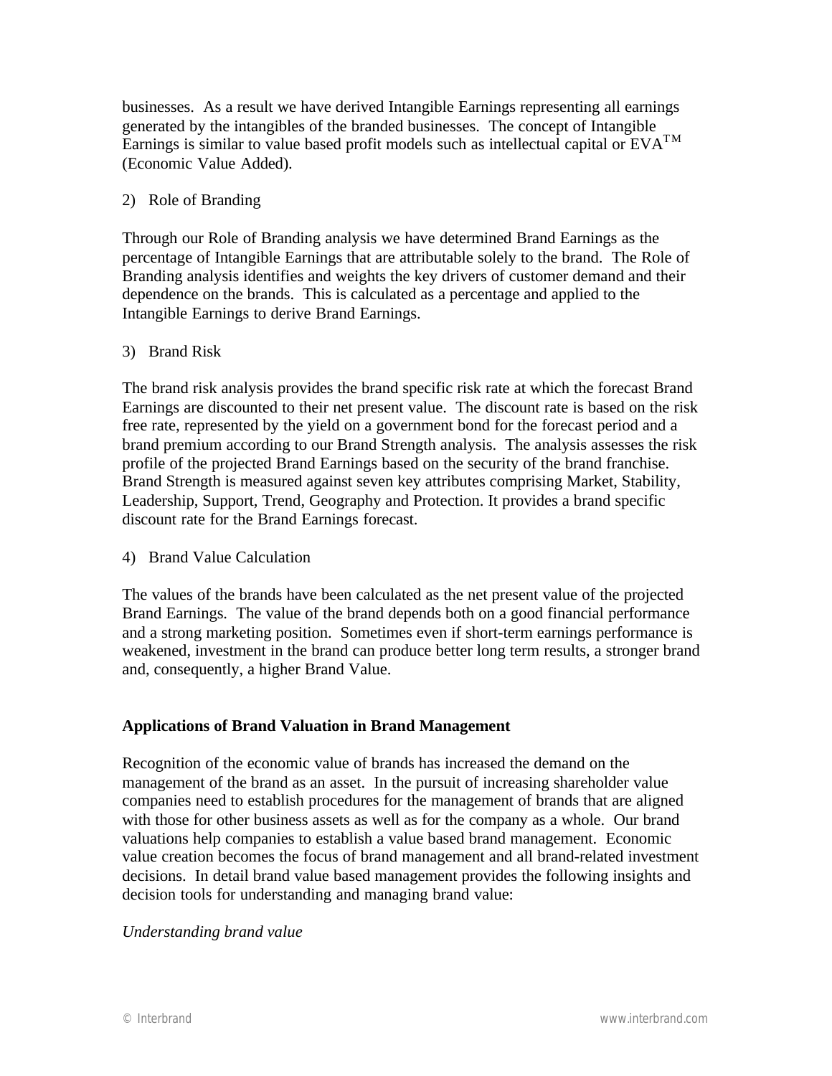businesses. As a result we have derived Intangible Earnings representing all earnings generated by the intangibles of the branded businesses. The concept of Intangible Earnings is similar to value based profit models such as intellectual capital or  $EVA^{TM}$ (Economic Value Added).

# 2) Role of Branding

Through our Role of Branding analysis we have determined Brand Earnings as the percentage of Intangible Earnings that are attributable solely to the brand. The Role of Branding analysis identifies and weights the key drivers of customer demand and their dependence on the brands. This is calculated as a percentage and applied to the Intangible Earnings to derive Brand Earnings.

#### 3) Brand Risk

The brand risk analysis provides the brand specific risk rate at which the forecast Brand Earnings are discounted to their net present value. The discount rate is based on the risk free rate, represented by the yield on a government bond for the forecast period and a brand premium according to our Brand Strength analysis. The analysis assesses the risk profile of the projected Brand Earnings based on the security of the brand franchise. Brand Strength is measured against seven key attributes comprising Market, Stability, Leadership, Support, Trend, Geography and Protection. It provides a brand specific discount rate for the Brand Earnings forecast.

#### 4) Brand Value Calculation

The values of the brands have been calculated as the net present value of the projected Brand Earnings. The value of the brand depends both on a good financial performance and a strong marketing position. Sometimes even if short-term earnings performance is weakened, investment in the brand can produce better long term results, a stronger brand and, consequently, a higher Brand Value.

# **Applications of Brand Valuation in Brand Management**

Recognition of the economic value of brands has increased the demand on the management of the brand as an asset. In the pursuit of increasing shareholder value companies need to establish procedures for the management of brands that are aligned with those for other business assets as well as for the company as a whole. Our brand valuations help companies to establish a value based brand management. Economic value creation becomes the focus of brand management and all brand-related investment decisions. In detail brand value based management provides the following insights and decision tools for understanding and managing brand value:

#### *Understanding brand value*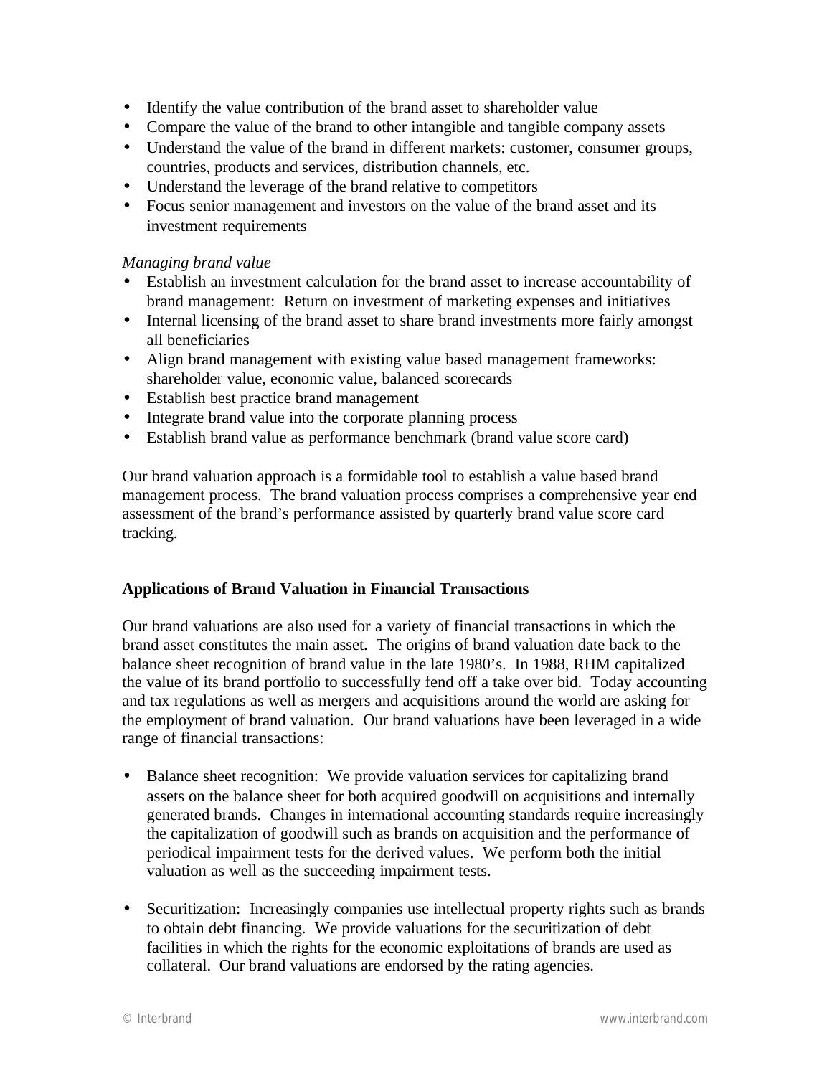- Identify the value contribution of the brand asset to shareholder value
- Compare the value of the brand to other intangible and tangible company assets
- Understand the value of the brand in different markets: customer, consumer groups, countries, products and services, distribution channels, etc.
- Understand the leverage of the brand relative to competitors
- Focus senior management and investors on the value of the brand asset and its investment requirements

# *Managing brand value*

- Establish an investment calculation for the brand asset to increase accountability of brand management: Return on investment of marketing expenses and initiatives
- Internal licensing of the brand asset to share brand investments more fairly amongst all beneficiaries
- Align brand management with existing value based management frameworks: shareholder value, economic value, balanced scorecards
- Establish best practice brand management
- Integrate brand value into the corporate planning process
- Establish brand value as performance benchmark (brand value score card)

Our brand valuation approach is a formidable tool to establish a value based brand management process. The brand valuation process comprises a comprehensive year end assessment of the brand's performance assisted by quarterly brand value score card tracking.

# **Applications of Brand Valuation in Financial Transactions**

Our brand valuations are also used for a variety of financial transactions in which the brand asset constitutes the main asset. The origins of brand valuation date back to the balance sheet recognition of brand value in the late 1980's. In 1988, RHM capitalized the value of its brand portfolio to successfully fend off a take over bid. Today accounting and tax regulations as well as mergers and acquisitions around the world are asking for the employment of brand valuation. Our brand valuations have been leveraged in a wide range of financial transactions:

- Balance sheet recognition: We provide valuation services for capitalizing brand assets on the balance sheet for both acquired goodwill on acquisitions and internally generated brands. Changes in international accounting standards require increasingly the capitalization of goodwill such as brands on acquisition and the performance of periodical impairment tests for the derived values. We perform both the initial valuation as well as the succeeding impairment tests.
- Securitization: Increasingly companies use intellectual property rights such as brands to obtain debt financing. We provide valuations for the securitization of debt facilities in which the rights for the economic exploitations of brands are used as collateral. Our brand valuations are endorsed by the rating agencies.